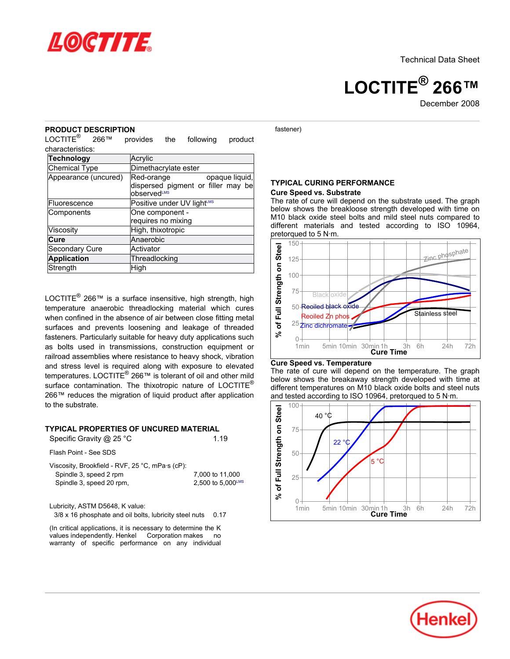

**LOCTITE® 266™**

December 2008

### **PRODUCT DESCRIPTION**

LOCTITE® 266™ provides the following product characteristics:

| <b>Technology</b>    | Acrylic                                                                                       |  |  |
|----------------------|-----------------------------------------------------------------------------------------------|--|--|
| Chemical Type        | Dimethacrylate ester                                                                          |  |  |
| Appearance (uncured) | Red-orange<br>opaque liquid,<br>dispersed pigment or filler may be<br>observed <sup>LMS</sup> |  |  |
| Fluorescence         | Positive under UV lightLMS                                                                    |  |  |
| Components           | One component -<br>requires no mixing                                                         |  |  |
| Viscosity            | High, thixotropic                                                                             |  |  |
| Cure                 | Anaerobic                                                                                     |  |  |
| Secondary Cure       | Activator                                                                                     |  |  |
| <b>Application</b>   | Threadlocking                                                                                 |  |  |
| Strength             | High                                                                                          |  |  |

LOCTITE<sup>®</sup> 266™ is a surface insensitive, high strength, high temperature anaerobic threadlocking material which cures when confined in the absence of air between close fitting metal surfaces and prevents loosening and leakage of threaded fasteners. Particularly suitable for heavy duty applications such as bolts used in transmissions, construction equipment or railroad assemblies where resistance to heavy shock, vibration and stress level is required along with exposure to elevated temperatures. LOCTITE<sup>®</sup> 266™ is tolerant of oil and other mild surface contamination. The thixotropic nature of LOCTITE® 266™ reduces the migration of liquid product after application to the substrate.

### **TYPICAL PROPERTIES OF UNCURED MATERIAL**

Specific Gravity @ 25 °C 1.19

Flash Point - See SDS

Viscosity, Brookfield - RVF, 25 °C, mPa·s (cP): Spindle 3, speed 2 rpm 7,000 to 11,000 Spindle 3, speed 20 rpm,  $2,500$  to  $5,000^{\text{LMS}}$ 

Lubricity, ASTM D5648, K value:

3/8 x 16 phosphate and oil bolts, lubricity steel nuts 0.17

(In critical applications, it is necessary to determine the K values independently. Henkel Corporation makes no warranty of specific performance on any individual fastener)

#### **TYPICAL CURING PERFORMANCE Cure Speed vs. Substrate**

The rate of cure will depend on the substrate used. The graph below shows the breakloose strength developed with time on M10 black oxide steel bolts and mild steel nuts compared to different materials and tested according to ISO 10964, pretorqued to 5 N·m.



#### **Cure Speed vs. Temperature**

The rate of cure will depend on the temperature. The graph below shows the breakaway strength developed with time at different temperatures on M10 black oxide bolts and steel nuts and tested according to ISO 10964, pretorqued to 5 N·m.



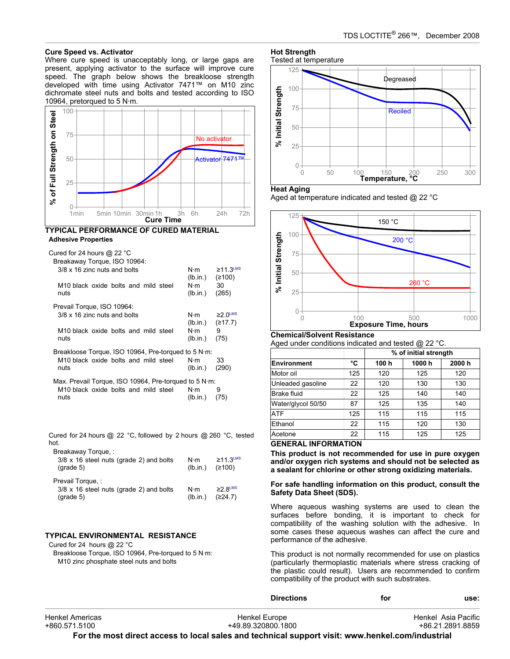### **Cure Speed vs. Activator**

Where cure speed is unacceptably long, or large gaps are present, applying activator to the surface will improve cure speed. The graph below shows the breakloose strength developed with time using Activator 7471™ on M10 zinc dichromate steel nuts and bolts and tested according to ISO 10964, pretorqued to 5 N·m.



### **TYPICAL PERFORMANCE OF CURED MATERIAL Adhesive Properties**

| Cured for 24 hours @ 22 $^{\circ}$ C<br>Breakaway Torque, ISO 10964: |                         |                                      |  |
|----------------------------------------------------------------------|-------------------------|--------------------------------------|--|
| 3/8 x 16 zinc nuts and bolts                                         | N⋅m<br>(lb.in.)         | $≥11.3$ <sup>LMS</sup><br>(≥100)     |  |
| M10 black oxide bolts and mild steel<br>nuts                         | N∙m<br>(lb.in.)         | 30<br>(265)                          |  |
| Prevail Torque, ISO 10964:                                           |                         |                                      |  |
| 3/8 x 16 zinc nuts and bolts                                         | N⋅m<br>(lb.in.)         | $\geq$ 2.0 <sup>LMS</sup><br>(≥17.7) |  |
| M10 black oxide bolts and mild steel<br>nuts                         | $N \cdot m$<br>(lb.in.) | 9<br>(75)                            |  |
| Breakloose Torque, ISO 10964, Pre-torqued to 5 N·m:                  |                         |                                      |  |
| M <sub>10</sub> black oxide bolts and mild steel<br>nuts             | N⋅m<br>(lb.in.)         | 33<br>(290)                          |  |
| Max. Prevail Torque, ISO 10964, Pre-torqued to 5 $N \cdot m$ .       |                         |                                      |  |
| M <sub>10</sub> black oxide bolts and mild steel<br>nuts             | $N \cdot m$<br>(lb.in.) | 9<br>(75)                            |  |

Cured for 24 hours @ 22 °C, followed by 2 hours @ 260 °C, tested hot.

| Breakaway Torque, :<br>$3/8 \times 16$ steel nuts (grade 2) and bolts<br>$(\text{grade } 5)$ | N⋅m<br>(lb.in.)         | $\geq$ 11.3LMS<br>(≥100)             |
|----------------------------------------------------------------------------------------------|-------------------------|--------------------------------------|
| Prevail Torque, :<br>$3/8 \times 16$ steel nuts (grade 2) and bolts<br>$(\text{grade } 5)$   | $N \cdot m$<br>(lb.in.) | $\geq$ 2 8 <sup>LMS</sup><br>(224.7) |

# **TYPICAL ENVIRONMENTAL RESISTANCE**

Cured for 24 hours @ 22 °C Breakloose Torque, ISO 10964, Pre-torqued to 5 N·m: M10 zinc phosphate steel nuts and bolts

# **Hot Strength**



#### **Heat Aging**

Aged at temperature indicated and tested @ 22 °C



# **Chemical/Solvent Resistance**

Aged under conditions indicated and tested @ 22 °C.

|                    |     | % of initial strength |       |       |
|--------------------|-----|-----------------------|-------|-------|
| Environment        | °C  | 100 h                 | 1000h | 2000h |
| Motor oil          | 125 | 120                   | 125   | 120   |
| Unleaded gasoline  | 22  | 120                   | 130   | 130   |
| <b>Brake fluid</b> | 22  | 125                   | 140   | 140   |
| Water/glycol 50/50 | 87  | 125                   | 135   | 140   |
| <b>ATF</b>         | 125 | 115                   | 115   | 115   |
| Ethanol            | 22  | 115                   | 120   | 130   |
| Acetone            | 22  | 115                   | 125   | 125   |

# **GENERAL INFORMATION**

**This product is not recommended for use in pure oxygen and/or oxygen rich systems and should not be selected as a sealant for chlorine or other strong oxidizing materials.**

### **For safe handling information on this product, consult the Safety Data Sheet (SDS).**

Where aqueous washing systems are used to clean the surfaces before bonding, it is important to check for compatibility of the washing solution with the adhesive. In some cases these aqueous washes can affect the cure and performance of the adhesive.

This product is not normally recommended for use on plastics (particularly thermoplastic materials where stress cracking of the plastic could result). Users are recommended to confirm compatibility of the product with such substrates.

|                 | <b>Directions</b>  | for | use:                |
|-----------------|--------------------|-----|---------------------|
| Henkel Americas | Henkel Europe      |     | Henkel Asia Pacific |
| +860.571.5100   | +49.89.320800.1800 |     | +86.21.2891.8859    |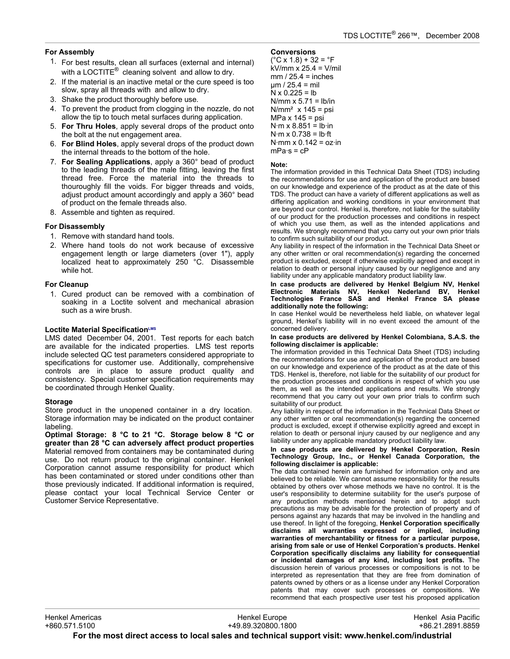## **For Assembly**

- 1. For best results, clean all surfaces (external and internal) with a LOCTITE $^{\circledR}$  cleaning solvent and allow to dry.
- 2. If the material is an inactive metal or the cure speed is too slow, spray all threads with and allow to dry.
- 3. Shake the product thoroughly before use.
- 4. To prevent the product from clogging in the nozzle, do not allow the tip to touch metal surfaces during application.
- 5. **For Thru Holes**, apply several drops of the product onto the bolt at the nut engagement area.
- 6. **For Blind Holes**, apply several drops of the product down the internal threads to the bottom of the hole.
- 7. **For Sealing Applications**, apply a 360° bead of product to the leading threads of the male fitting, leaving the first thread free. Force the material into the threads to thouroughly fill the voids. For bigger threads and voids, adjust product amount accordingly and apply a 360° bead of product on the female threads also.
- 8. Assemble and tighten as required.

### **For Disassembly**

- 1. Remove with standard hand tools.
- 2. Where hand tools do not work because of excessive engagement length or large diameters (over 1"), apply localized heat to approximately 250 °C. Disassemble while hot.

### **For Cleanup**

1. Cured product can be removed with a combination of soaking in a Loctite solvent and mechanical abrasion such as a wire brush.

### **Loctite Material SpecificationLMS**

LMS dated December 04, 2001. Test reports for each batch are available for the indicated properties. LMS test reports include selected QC test parameters considered appropriate to specifications for customer use. Additionally, comprehensive controls are in place to assure product quality and consistency. Special customer specification requirements may be coordinated through Henkel Quality.

### **Storage**

Store product in the unopened container in a dry location. Storage information may be indicated on the product container labeling.

**Optimal Storage: 8 °C to 21 °C. Storage below 8 °C or greater than 28 °C can adversely affect product properties** Material removed from containers may be contaminated during use. Do not return product to the original container. Henkel Corporation cannot assume responsibility for product which has been contaminated or stored under conditions other than those previously indicated. If additional information is required, please contact your local Technical Service Center or Customer Service Representative.

### **Conversions**

 $(^{\circ}C$  x 1.8) + 32 =  $^{\circ}F$ kV/mm x 25.4 = V/mil  $mm / 25.4 = inches$  $um / 25.4 = mil$  $N \times 0.225 = lb$ N/mm  $x$  5.71 = lb/in  $N/mm^2$  x 145 = psi MPa x 145 = psi  $N·m \times 8.851 = lb·in$  $N·m \times 0.738 = lb·ft$ N·mm  $\times$  0.142 = oz·in  $mPa·s = cP$ 

### **Note:**

The information provided in this Technical Data Sheet (TDS) including the recommendations for use and application of the product are based on our knowledge and experience of the product as at the date of this TDS. The product can have a variety of different applications as well as differing application and working conditions in your environment that are beyond our control. Henkel is, therefore, not liable for the suitability of our product for the production processes and conditions in respect of which you use them, as well as the intended applications and results. We strongly recommend that you carry out your own prior trials to confirm such suitability of our product.

Any liability in respect of the information in the Technical Data Sheet or any other written or oral recommendation(s) regarding the concerned product is excluded, except if otherwise explicitly agreed and except in relation to death or personal injury caused by our negligence and any liability under any applicable mandatory product liability law.

**In case products are delivered by Henkel Belgium NV, Henkel Electronic Materials NV, Henkel Nederland BV, Henkel Technologies France SAS and Henkel France SA please additionally note the following:** 

In case Henkel would be nevertheless held liable, on whatever legal ground, Henkel's liability will in no event exceed the amount of the concerned delivery.

#### **In case products are delivered by Henkel Colombiana, S.A.S. the following disclaimer is applicable:**

The information provided in this Technical Data Sheet (TDS) including the recommendations for use and application of the product are based on our knowledge and experience of the product as at the date of this TDS. Henkel is, therefore, not liable for the suitability of our product for the production processes and conditions in respect of which you use them, as well as the intended applications and results. We strongly recommend that you carry out your own prior trials to confirm such suitability of our product.

Any liability in respect of the information in the Technical Data Sheet or any other written or oral recommendation(s) regarding the concerned product is excluded, except if otherwise explicitly agreed and except in relation to death or personal injury caused by our negligence and any liability under any applicable mandatory product liability law.

#### **In case products are delivered by Henkel Corporation, Resin Technology Group, Inc., or Henkel Canada Corporation, the following disclaimer is applicable:**

The data contained herein are furnished for information only and are believed to be reliable. We cannot assume responsibility for the results obtained by others over whose methods we have no control. It is the user's responsibility to determine suitability for the user's purpose of any production methods mentioned herein and to adopt such precautions as may be advisable for the protection of property and of persons against any hazards that may be involved in the handling and use thereof. In light of the foregoing, **Henkel Corporation specifically disclaims all warranties expressed or implied, including warranties of merchantability or fitness for a particular purpose, arising from sale or use of Henkel Corporation's products. Henkel Corporation specifically disclaims any liability for consequential or incidental damages of any kind, including lost profits.** The discussion herein of various processes or compositions is not to be interpreted as representation that they are free from domination of patents owned by others or as a license under any Henkel Corporation patents that may cover such processes or compositions. We recommend that each prospective user test his proposed application